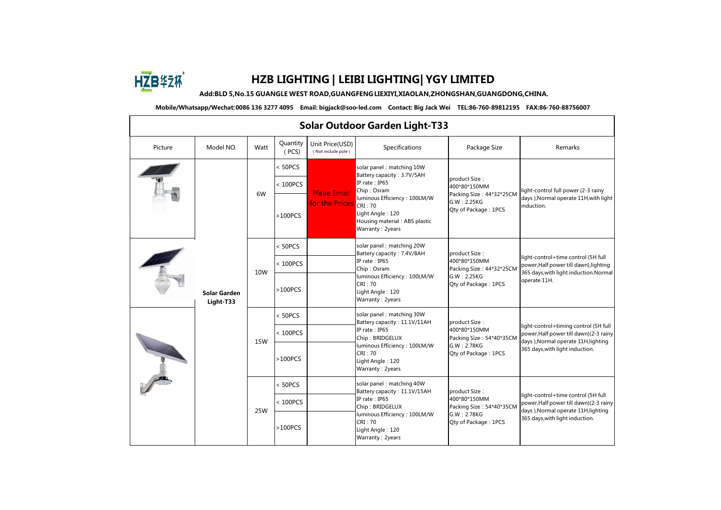

## **HZB LIGHTING | LEIBI LIGHTING| YGY LIMITED**

**Add:BLD 5,No.15 GUANGLE WEST ROAD,GUANGFENGLIEXIYI,XIAOLAN,ZHONGSHAN,GUANGDONG,CHINA.**

**Mobile/Whatsapp/Wechat:0086 136 3277 4095 Email: bigjack@soo-led.com Contact: Big Jack Wei TEL:86-760-89812195 FAX:86-760-88756007**

| <b>Solar Outdoor Garden Light-T33</b> |                                  |            |                   |                                       |                                                                                                                                                                                                            |                                                                                                  |                                                                                                                                                             |  |  |
|---------------------------------------|----------------------------------|------------|-------------------|---------------------------------------|------------------------------------------------------------------------------------------------------------------------------------------------------------------------------------------------------------|--------------------------------------------------------------------------------------------------|-------------------------------------------------------------------------------------------------------------------------------------------------------------|--|--|
| Picture                               | Model NO.                        | Watt       | Quantity<br>(PCS) | Unit Price(USD)<br>(Not include pole) | Specifications                                                                                                                                                                                             | Package Size                                                                                     | Remarks                                                                                                                                                     |  |  |
|                                       | <b>Solar Garden</b><br>Light-T33 | 6W         | < 50PCS           | <b>Pleae Email</b><br>for the Prices  | solar panel: matching 10W<br>Battery capacity: 3.7V/5AH<br>IP rate: IP65<br>Chip: Osram<br>luminous Efficiency: 100LM/W<br>CRI:70<br>Light Angle: 120<br>Housing material: ABS plastic<br>Warranty: 2years | product Size:<br>400*80*150MM<br>Packing Size: 44*32*25CM<br>G.W: 2.25KG<br>Qty of Package: 1PCS | light-control full power (2-3 rainy<br>days ), Normal operate 11H, with light<br>induction.                                                                 |  |  |
|                                       |                                  |            | $100PCS$          |                                       |                                                                                                                                                                                                            |                                                                                                  |                                                                                                                                                             |  |  |
|                                       |                                  |            | $>100PCS$         |                                       |                                                                                                                                                                                                            |                                                                                                  |                                                                                                                                                             |  |  |
|                                       |                                  | 10W        | < 50PCS           |                                       | solar panel: matching 20W<br>Battery capacity: 7.4V/8AH<br>IP rate: IP65<br>Chip: Osram<br>luminous Efficiency: 100LM/W<br>CRI: 70<br>Light Angle: 120<br>Warranty: 2years                                 | product Size:                                                                                    | light-control+time control (5H full<br>power, Half power till dawn), lighting<br>365 days, with light induction. Normal<br>operate 11H.                     |  |  |
|                                       |                                  |            | < 100PCS          |                                       |                                                                                                                                                                                                            | 400*80*150MM<br>Packing Size: 44*32*25CM                                                         |                                                                                                                                                             |  |  |
|                                       |                                  |            | $>100PCS$         |                                       |                                                                                                                                                                                                            | G.W: 2.25KG<br>Qty of Package: 1PCS                                                              |                                                                                                                                                             |  |  |
|                                       |                                  |            | < 50PCS           |                                       | solar panel: matching 30W<br>Battery capacity: 11.1V/11AH                                                                                                                                                  | product Size:                                                                                    | light-control+timing control (5H full<br>power, Half power till dawn) (2-3 rainy<br>days ), Normal operate 11H, lighting<br>365 days, with light induction. |  |  |
|                                       |                                  |            | < 100PCS          |                                       | IP rate: IP65<br>Chip: BRIDGELUX<br>luminous Efficiency: 100LM/W<br>CRI: 70<br>Light Angle: 120<br>Warranty: 2years                                                                                        | 400*80*150MM<br>Packing Size: 54*40*35CM                                                         |                                                                                                                                                             |  |  |
|                                       |                                  | <b>15W</b> | $>100PCS$         |                                       |                                                                                                                                                                                                            | G.W: 2.78KG<br>Qty of Package: 1PCS                                                              |                                                                                                                                                             |  |  |
|                                       |                                  | 25W        | < 50PCS           |                                       | solar panel: matching 40W<br>Battery capacity: 11.1V/15AH<br>IP rate: IP65<br>Chip: BRIDGELUX<br>luminous Efficiency: 100LM/W<br>CRI: 70<br>Light Angle: 120<br>Warranty: 2years                           | product Size:                                                                                    | light-control+time control (5H full<br>power, Half power till dawn) (2-3 rainy<br>days ), Normal operate 11H, lighting<br>365 days, with light induction.   |  |  |
|                                       |                                  |            | < 100PCS          |                                       |                                                                                                                                                                                                            | 400*80*150MM<br>Packing Size: 54*40*35CM                                                         |                                                                                                                                                             |  |  |
|                                       |                                  |            | $>100PCS$         |                                       |                                                                                                                                                                                                            | G.W: 2.78KG<br>Qty of Package: 1PCS                                                              |                                                                                                                                                             |  |  |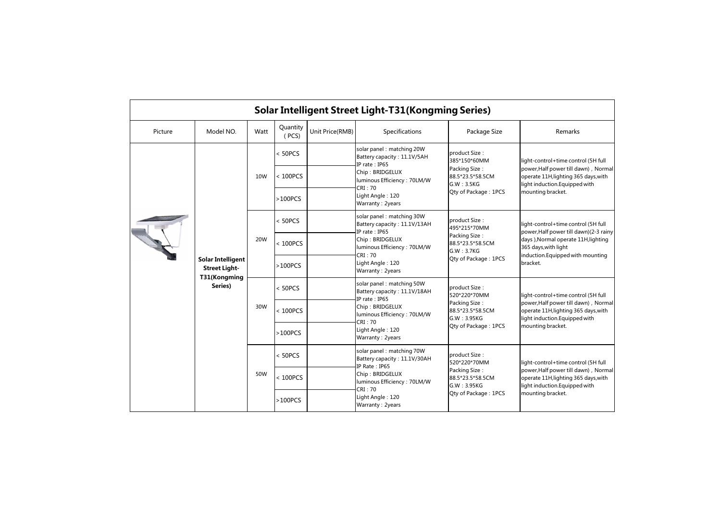| Solar Intelligent Street Light-T31(Kongming Series) |                                                                  |                            |                   |                                                                           |                                                                                                                                         |                                                                                                                                                                                                                                                  |                                                                                                                                                                                                                 |  |  |
|-----------------------------------------------------|------------------------------------------------------------------|----------------------------|-------------------|---------------------------------------------------------------------------|-----------------------------------------------------------------------------------------------------------------------------------------|--------------------------------------------------------------------------------------------------------------------------------------------------------------------------------------------------------------------------------------------------|-----------------------------------------------------------------------------------------------------------------------------------------------------------------------------------------------------------------|--|--|
| Picture                                             | Model NO.                                                        | Watt                       | Quantity<br>(PCS) | Unit Price(RMB)                                                           | <b>Specifications</b>                                                                                                                   | Package Size                                                                                                                                                                                                                                     | Remarks                                                                                                                                                                                                         |  |  |
|                                                     |                                                                  | < 50PCS<br>10W<br>< 100PCS |                   | solar panel: matching 20W<br>Battery capacity: 11.1V/5AH<br>IP rate: IP65 | product Size:<br>385*150*60MM                                                                                                           | light-control+time control (5H full                                                                                                                                                                                                              |                                                                                                                                                                                                                 |  |  |
|                                                     |                                                                  |                            |                   |                                                                           | Chip: BRIDGELUX<br>luminous Efficiency: 70LM/W<br>CRI: 70                                                                               | Packing Size:<br>88.5*23.5*58.5CM<br>G.W : 3.5KG                                                                                                                                                                                                 | power, Half power till dawn), Normal<br>operate 11H, lighting 365 days, with<br>light induction.Equipped with                                                                                                   |  |  |
|                                                     |                                                                  |                            | $>100PCS$         |                                                                           | Light Angle: 120<br>Warranty: 2years                                                                                                    | Qty of Package: 1PCS                                                                                                                                                                                                                             | mounting bracket.                                                                                                                                                                                               |  |  |
|                                                     |                                                                  |                            | < 50PCS           |                                                                           | solar panel: matching 30W<br>Battery capacity: 11.1V/13AH<br>IP rate: IP65                                                              | product Size:<br>495*215*70MM                                                                                                                                                                                                                    | light-control+time control (5H full<br>power, Half power till dawn) (2-3 rainy<br>Packing Size:<br>days ), Normal operate 11H, lighting<br>365 days, with light<br>induction.Equipped with mounting<br>bracket. |  |  |
|                                                     |                                                                  | 20W                        | $100PCS$          |                                                                           | Chip: BRIDGELUX<br>luminous Efficiency: 70LM/W<br>CRI: 70                                                                               | 88.5*23.5*58.5CM<br>G.W : 3.7KG                                                                                                                                                                                                                  |                                                                                                                                                                                                                 |  |  |
|                                                     | <b>Solar Intelligent</b><br><b>Street Light-</b><br>T31(Kongming |                            | $>100PCS$         |                                                                           | Light Angle: 120<br>Warranty: 2years                                                                                                    | Qty of Package: 1PCS                                                                                                                                                                                                                             |                                                                                                                                                                                                                 |  |  |
|                                                     | Series)                                                          |                            | < 50PCS           |                                                                           | solar panel: matching 50W<br>Battery capacity: 11.1V/18AH<br>IP rate: IP65<br>Chip: BRIDGELUX<br>luminous Efficiency: 70LM/W<br>CRI: 70 | product Size:<br>520*220*70MM<br>power, Half power till dawn), Normal<br>Packing Size:<br>88.5*23.5*58.5CM<br>operate 11H, lighting 365 days, with<br>G.W: 3.95KG<br>light induction. Equipped with<br>mounting bracket.<br>Qty of Package: 1PCS | light-control+time control (5H full                                                                                                                                                                             |  |  |
|                                                     |                                                                  | 30W                        | < 100PCS          |                                                                           |                                                                                                                                         |                                                                                                                                                                                                                                                  |                                                                                                                                                                                                                 |  |  |
|                                                     |                                                                  |                            | $>100PCS$         |                                                                           | Light Angle: 120<br>Warranty: 2years                                                                                                    |                                                                                                                                                                                                                                                  |                                                                                                                                                                                                                 |  |  |
|                                                     |                                                                  | 50W                        | < 50PCS           |                                                                           | solar panel: matching 70W<br>Battery capacity: 11.1V/30AH<br>IP Rate: IP65                                                              | product Size:<br>520*220*70MM                                                                                                                                                                                                                    | light-control+time control (5H full<br>power, Half power till dawn), Normal<br>operate 11H, lighting 365 days, with<br>light induction. Equipped with<br>mounting bracket.                                      |  |  |
|                                                     |                                                                  |                            | $100PCS$          |                                                                           | Chip: BRIDGELUX<br>luminous Efficiency: 70LM/W                                                                                          | Packing Size:<br>88.5*23.5*58.5CM<br>G.W: 3.95KG                                                                                                                                                                                                 |                                                                                                                                                                                                                 |  |  |
|                                                     |                                                                  |                            | $>100PCS$         |                                                                           | CRI: 70<br>Light Angle: 120<br>Warranty: 2years                                                                                         | Oty of Package: 1PCS                                                                                                                                                                                                                             |                                                                                                                                                                                                                 |  |  |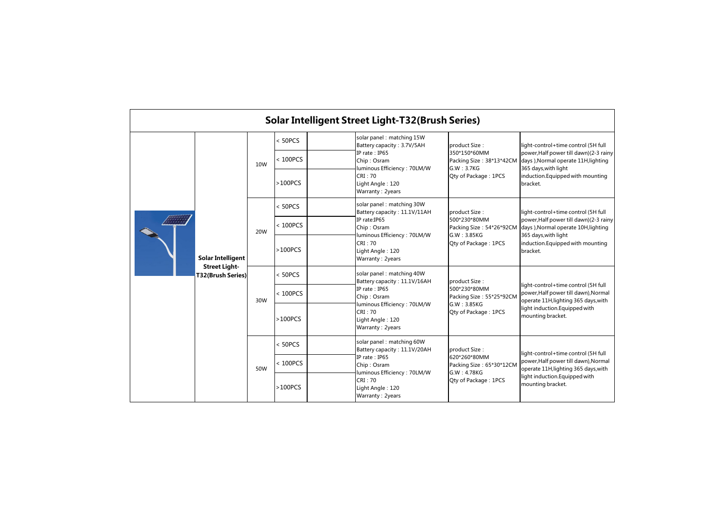| <b>Solar Intelligent Street Light-T32(Brush Series)</b> |                                                                       |     |           |                                                                         |                                                                                |                                                                                 |                                                                                                                                                                                                 |  |  |
|---------------------------------------------------------|-----------------------------------------------------------------------|-----|-----------|-------------------------------------------------------------------------|--------------------------------------------------------------------------------|---------------------------------------------------------------------------------|-------------------------------------------------------------------------------------------------------------------------------------------------------------------------------------------------|--|--|
|                                                         | <b>Solar Intelligent</b><br><b>Street Light-</b><br>T32(Brush Series) |     | < 50PCS   |                                                                         | solar panel: matching 15W<br>Battery capacity: 3.7V/5AH                        | product Size:<br>350*150*60MM<br>G.W: 3.7KG                                     | light-control+time control (5H full<br>power, Half power till dawn) (2-3 rainy<br>Packing Size: 38*13*42CM days ), Normal operate 11H, lighting<br>365 days, with light                         |  |  |
|                                                         |                                                                       | 10W | < 100PCS  |                                                                         | IP rate: IP65<br>Chip: Osram<br>luminous Efficiency: 70LM/W                    |                                                                                 |                                                                                                                                                                                                 |  |  |
|                                                         |                                                                       |     | $>100PCS$ | CRI: 70<br>Qty of Package: 1PCS<br>Light Angle: 120<br>Warranty: 2years | induction. Equipped with mounting<br>bracket.                                  |                                                                                 |                                                                                                                                                                                                 |  |  |
|                                                         |                                                                       | 20W | < 50PCS   |                                                                         | solar panel: matching 30W<br>Battery capacity: 11.1V/11AH                      | product Size:                                                                   | light-control+time control (5H full<br>power, Half power till dawn) (2-3 rainy<br>days ), Normal operate 10H, lighting<br>365 days, with light<br>induction. Equipped with mounting<br>bracket. |  |  |
|                                                         |                                                                       |     | < 100PCS  |                                                                         | IP rate: IP65<br>Chip: Osram                                                   | 500*230*80MM<br>Packing Size: 54*26*92CM<br>G.W: 3.85KG<br>Qty of Package: 1PCS |                                                                                                                                                                                                 |  |  |
|                                                         |                                                                       |     | $>100PCS$ |                                                                         | luminous Efficiency: 70LM/W<br>CRI: 70<br>Light Angle: 120<br>Warranty: 2years |                                                                                 |                                                                                                                                                                                                 |  |  |
|                                                         |                                                                       | 30W | < 50PCS   |                                                                         | solar panel: matching 40W<br>Battery capacity: 11.1V/16AH                      | product Size:<br>500*230*80MM<br>Packing Size: 55*25*92CM                       | light-control+time control (5H full<br>power, Half power till dawn), Normal<br>operate 11H, lighting 365 days, with<br>light induction. Equipped with<br>mounting bracket.                      |  |  |
|                                                         |                                                                       |     | < 100PCS  |                                                                         | IP rate: IP65<br>Chip: Osram                                                   |                                                                                 |                                                                                                                                                                                                 |  |  |
|                                                         |                                                                       |     | $>100PCS$ |                                                                         | luminous Efficiency: 70LM/W<br>CRI: 70<br>Light Angle: 120<br>Warranty: 2years | G.W: 3.85KG<br>Qty of Package: 1PCS                                             |                                                                                                                                                                                                 |  |  |
|                                                         |                                                                       | 50W | < 50PCS   |                                                                         | solar panel: matching 60W<br>Battery capacity: 11.1V/20AH                      | product Size:                                                                   | light-control+time control (5H full<br>power, Half power till dawn), Normal<br>operate 11H, lighting 365 days, with<br>light induction. Equipped with<br>mounting bracket.                      |  |  |
|                                                         |                                                                       |     | < 100PCS  |                                                                         | IP rate: IP65<br>Chip: Osram<br>luminous Efficiency: 70LM/W                    | 620*260*80MM<br>Packing Size: 65*30*12CM<br>G.W: 4.78KG                         |                                                                                                                                                                                                 |  |  |
|                                                         |                                                                       |     | $>100PCS$ |                                                                         | CRI: 70<br>Light Angle: 120<br>Warranty: 2years                                | Oty of Package: 1PCS                                                            |                                                                                                                                                                                                 |  |  |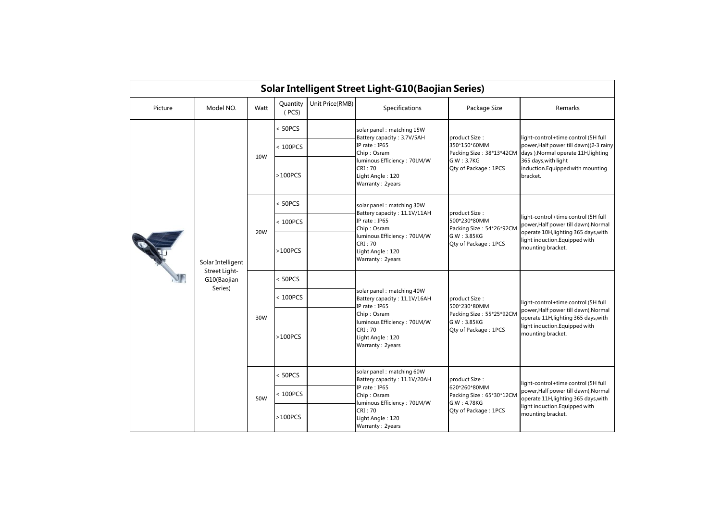| Solar Intelligent Street Light-G10(Baojian Series) |                                         |                            |                   |                                                                                               |                                                                                |                                                                                                                                                                                                                                                                                                                                                    |                                                                                                                                                                           |  |  |
|----------------------------------------------------|-----------------------------------------|----------------------------|-------------------|-----------------------------------------------------------------------------------------------|--------------------------------------------------------------------------------|----------------------------------------------------------------------------------------------------------------------------------------------------------------------------------------------------------------------------------------------------------------------------------------------------------------------------------------------------|---------------------------------------------------------------------------------------------------------------------------------------------------------------------------|--|--|
| Picture                                            | Model NO.                               | Watt                       | Quantity<br>(PCS) | Unit Price(RMB)                                                                               | <b>Specifications</b>                                                          | Package Size                                                                                                                                                                                                                                                                                                                                       | Remarks                                                                                                                                                                   |  |  |
|                                                    |                                         |                            | < 50PCS           |                                                                                               | solar panel: matching 15W<br>Battery capacity: 3.7V/5AH                        | product Size:                                                                                                                                                                                                                                                                                                                                      | light-control+time control (5H full<br>power, Half power till dawn) (2-3 rainy<br>days ), Normal operate 11H, lighting                                                    |  |  |
|                                                    |                                         | 10W                        | < 100PCS          |                                                                                               | IP rate: IP65<br>Chip: Osram                                                   | 350*150*60MM<br>Packing Size: 38*13*42CM                                                                                                                                                                                                                                                                                                           |                                                                                                                                                                           |  |  |
|                                                    |                                         |                            | >100PCS           |                                                                                               | luminous Efficiency: 70LM/W<br>CRI: 70<br>Light Angle: 120<br>Warranty: 2years | 365 days, with light<br>G.W : 3.7KG<br>Qty of Package: 1PCS<br>bracket.<br>Battery capacity: 11.1V/11AH<br>product Size:<br>light-control+time control (5H full<br>500*230*80MM<br>Packing Size: 54*26*92CM<br>operate 10H, lighting 365 days, with<br>G.W : 3.85KG<br>light induction. Equipped with<br>Qty of Package: 1PCS<br>mounting bracket. | induction.Equipped with mounting                                                                                                                                          |  |  |
|                                                    |                                         |                            | < 50PCS           |                                                                                               | solar panel: matching 30W                                                      |                                                                                                                                                                                                                                                                                                                                                    |                                                                                                                                                                           |  |  |
|                                                    |                                         | 20W                        | < 100PCS          |                                                                                               | IP rate: IP65<br>Chip: Osram                                                   |                                                                                                                                                                                                                                                                                                                                                    | power, Half power till dawn), Normal                                                                                                                                      |  |  |
|                                                    | Solar Intelligent                       |                            | >100PCS           |                                                                                               | luminous Efficiency: 70LM/W<br>CRI: 70<br>Light Angle: 120<br>Warranty: 2years |                                                                                                                                                                                                                                                                                                                                                    |                                                                                                                                                                           |  |  |
|                                                    | Street Light-<br>G10(Baojian<br>Series) |                            | < 50PCS           |                                                                                               |                                                                                |                                                                                                                                                                                                                                                                                                                                                    | light-control+time control (5H full                                                                                                                                       |  |  |
|                                                    |                                         | $100PCS$<br>30W<br>>100PCS |                   |                                                                                               | solar panel: matching 40W<br>Battery capacity: 11.1V/16AH<br>IP rate: IP65     | product Size:<br>500*230*80MM                                                                                                                                                                                                                                                                                                                      |                                                                                                                                                                           |  |  |
|                                                    |                                         |                            |                   | Chip: Osram<br>luminous Efficiency: 70LM/W<br>CRI: 70<br>Light Angle: 120<br>Warranty: 2years | Packing Size: 55*25*92CM<br>G.W : 3.85KG<br>Qty of Package: 1PCS               | power, Half power till dawn), Normal<br>operate 11H, lighting 365 days, with<br>light induction. Equipped with<br>mounting bracket.                                                                                                                                                                                                                |                                                                                                                                                                           |  |  |
|                                                    |                                         | 50W                        | < 50PCS           |                                                                                               | solar panel: matching 60W<br>Battery capacity: 11.1V/20AH                      | product Size:                                                                                                                                                                                                                                                                                                                                      | light-control+time control (5H full<br>power, Half power till dawn), Normal<br>operate 11H, lighting 365 days, with<br>light induction.Equipped with<br>mounting bracket. |  |  |
|                                                    |                                         |                            | < 100PCS          |                                                                                               | IP rate: IP65<br>Chip: Osram                                                   | 620*260*80MM<br>Packing Size: 65*30*12CM<br>G.W: 4.78KG                                                                                                                                                                                                                                                                                            |                                                                                                                                                                           |  |  |
|                                                    |                                         |                            | >100PCS           |                                                                                               | luminous Efficiency: 70LM/W<br>CRI: 70<br>Light Angle: 120<br>Warranty: 2years | Qty of Package: 1PCS                                                                                                                                                                                                                                                                                                                               |                                                                                                                                                                           |  |  |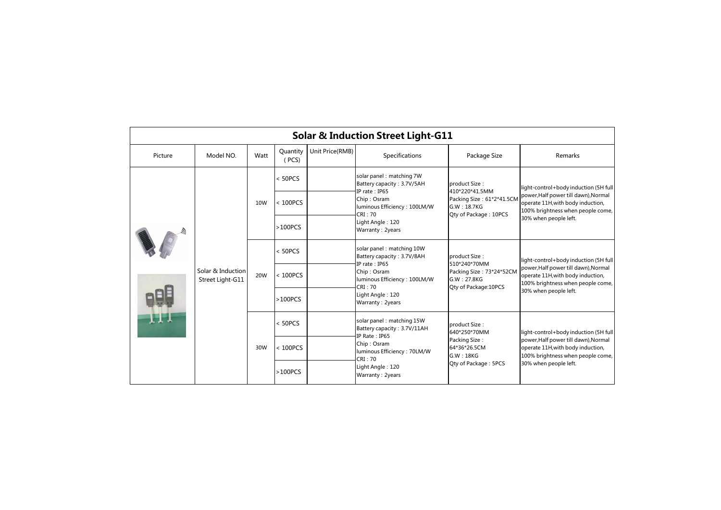| <b>Solar &amp; Induction Street Light-G11</b> |                                       |      |                   |                 |                                                                                                                                                                            |                                                                                                      |                                                                                                                                                                                  |  |  |
|-----------------------------------------------|---------------------------------------|------|-------------------|-----------------|----------------------------------------------------------------------------------------------------------------------------------------------------------------------------|------------------------------------------------------------------------------------------------------|----------------------------------------------------------------------------------------------------------------------------------------------------------------------------------|--|--|
| Picture                                       | Model NO.                             | Watt | Quantity<br>(PCS) | Unit Price(RMB) | Specifications                                                                                                                                                             | Package Size                                                                                         | Remarks                                                                                                                                                                          |  |  |
|                                               | Solar & Induction<br>Street Light-G11 | 10W  | < 50PCS           |                 | solar panel: matching 7W<br>Battery capacity: 3.7V/5AH<br>IP rate: IP65<br>Chip: Osram<br>luminous Efficiency: 100LM/W<br>CRI: 70<br>Light Angle: 120<br>Warranty: 2years  | product Size:<br>410*220*41.5MM<br>Packing Size: 61*2*41.5CM<br>G.W: 18.7KG<br>Qty of Package: 10PCS | light-control+body induction (5H full<br>power, Half power till dawn), Normal<br>operate 11H, with body induction,<br>100% brightness when people come,<br>30% when people left. |  |  |
|                                               |                                       |      | < 100PCS          |                 |                                                                                                                                                                            |                                                                                                      |                                                                                                                                                                                  |  |  |
| <b>LLT</b>                                    |                                       |      | $>100PCS$         |                 |                                                                                                                                                                            |                                                                                                      |                                                                                                                                                                                  |  |  |
|                                               |                                       | 20W  | < 50PCS           |                 | solar panel: matching 10W<br>Battery capacity: 3.7V/8AH<br>IP rate: IP65<br>Chip: Osram<br>luminous Efficiency: 100LM/W<br>CRI: 70<br>Light Angle: 120<br>Warranty: 2years | product Size:<br>510*240*70MM<br>Packing Size: 73*24*52CM<br>G.W: 27.8KG<br>Qty of Package: 10PCS    | light-control+body induction (5H full<br>power, Half power till dawn), Normal<br>operate 11H, with body induction,<br>100% brightness when people come,<br>30% when people left. |  |  |
|                                               |                                       |      | < 100PCS          |                 |                                                                                                                                                                            |                                                                                                      |                                                                                                                                                                                  |  |  |
|                                               |                                       |      | >100PCS           |                 |                                                                                                                                                                            |                                                                                                      |                                                                                                                                                                                  |  |  |
|                                               |                                       |      | < 50PCS           |                 | solar panel: matching 15W<br>Battery capacity: 3.7V/11AH<br>IP Rate: IP65<br>Chip: Osram<br>luminous Efficiency: 70LM/W<br>CRI: 70<br>Light Angle: 120<br>Warranty: 2years | product Size:<br>640*250*70MM                                                                        | light-control+body induction (5H full<br>power, Half power till dawn), Normal<br>operate 11H, with body induction,<br>100% brightness when people come,<br>30% when people left. |  |  |
|                                               |                                       | 30W  | < 100PCS          |                 |                                                                                                                                                                            | Packing Size:<br>64*36*26.5CM<br>G.W: 18KG<br>Qty of Package: 5PCS                                   |                                                                                                                                                                                  |  |  |
|                                               |                                       |      | $>100PCS$         |                 |                                                                                                                                                                            |                                                                                                      |                                                                                                                                                                                  |  |  |